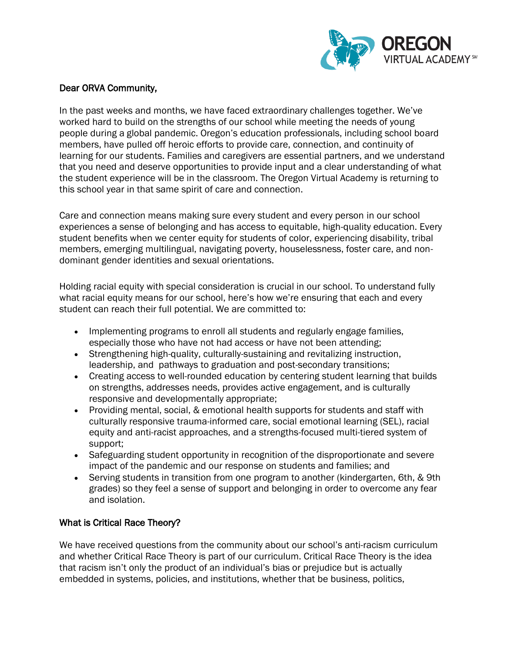

### Dear ORVA Community,

In the past weeks and months, we have faced extraordinary challenges together. We've worked hard to build on the strengths of our school while meeting the needs of young people during a global pandemic. Oregon's education professionals, including school board members, have pulled off heroic efforts to provide care, connection, and continuity of learning for our students. Families and caregivers are essential partners, and we understand that you need and deserve opportunities to provide input and a clear understanding of what the student experience will be in the classroom. The Oregon Virtual Academy is returning to this school year in that same spirit of care and connection.

Care and connection means making sure every student and every person in our school experiences a sense of belonging and has access to equitable, high-quality education. Every student benefits when we center equity for students of color, experiencing disability, tribal members, emerging multilingual, navigating poverty, houselessness, foster care, and nondominant gender identities and sexual orientations.

Holding racial equity with special consideration is crucial in our school. To understand fully what racial equity means for our school, here's how we're ensuring that each and every student can reach their full potential. We are committed to:

- Implementing programs to enroll all students and regularly engage families, especially those who have not had access or have not been attending;
- Strengthening high-quality, culturally-sustaining and revitalizing instruction, leadership, and pathways to graduation and post-secondary transitions;
- Creating access to well-rounded education by centering student learning that builds on strengths, addresses needs, provides active engagement, and is culturally responsive and developmentally appropriate;
- Providing mental, social, & emotional health supports for students and staff with culturally responsive trauma-informed care, social emotional learning (SEL), racial equity and anti-racist approaches, and a strengths-focused multi-tiered system of support;
- Safeguarding student opportunity in recognition of the disproportionate and severe impact of the pandemic and our response on students and families; and
- Serving students in transition from one program to another (kindergarten, 6th, & 9th grades) so they feel a sense of support and belonging in order to overcome any fear and isolation.

# What is Critical Race Theory?

We have received questions from the community about our school's anti-racism curriculum and whether Critical Race Theory is part of our curriculum. Critical Race Theory is the idea that racism isn't only the product of an individual's bias or prejudice but is actually embedded in systems, policies, and institutions, whether that be business, politics,